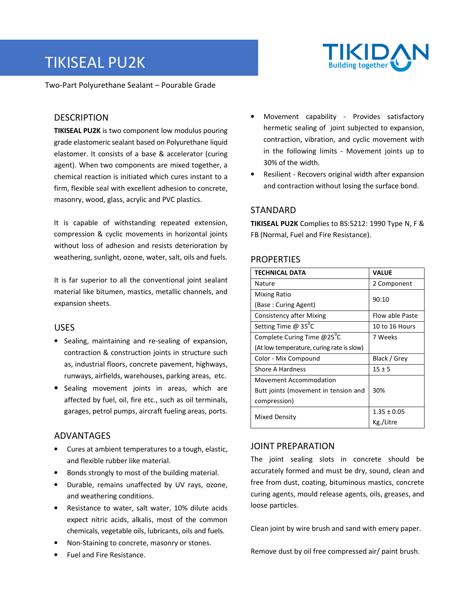# TIKISEAL PU2K



Two-Part Polyurethane Sealant – Pourable Grade

# **DESCRIPTION**

**TIKISEAL PU2K** is two component low modulus pouring grade elastomeric sealant based on Polyurethane liquid elastomer. It consists of a base & accelerator (curing agent). When two components are mixed together, a chemical reaction is initiated which cures instant to a firm, flexible seal with excellent adhesion to concrete, masonry, wood, glass, acrylic and PVC plastics.

It is capable of withstanding repeated extension, compression & cyclic movements in horizontal joints without loss of adhesion and resists deterioration by weathering, sunlight, ozone, water, salt, oils and fuels.

It is far superior to all the conventional joint sealant material like bitumen, mastics, metallic channels, and expansion sheets.

## USES

- Sealing, maintaining and re-sealing of expansion, contraction & construction joints in structure such as, industrial floors, concrete pavement, highways, runways, airfields, warehouses, parking areas, etc.
- Sealing movement joints in areas, which are affected by fuel, oil, fire etc., such as oil terminals, garages, petrol pumps, aircraft fueling areas, ports.

## ADVANTAGES

- Cures at ambient temperatures to a tough, elastic, and flexible rubber like material.
- Bonds strongly to most of the building material.
- Durable, remains unaffected by UV rays, ozone, and weathering conditions.
- Resistance to water, salt water, 10% dilute acids expect nitric acids, alkalis, most of the common chemicals, vegetable oils, lubricants, oils and fuels.
- Non-Staining to concrete, masonry or stones.
- Fuel and Fire Resistance.
- Movement capability Provides satisfactory hermetic sealing of joint subjected to expansion, contraction, vibration, and cyclic movement with in the following limits - Movement joints up to 30% of the width.
- Resilient Recovers original width after expansion and contraction without losing the surface bond.

# STANDARD

**TIKISEAL PU2K** Complies to BS:5212: 1990 Type N, F & FB (Normal, Fuel and Fire Resistance).

## **PROPERTIES**

| <b>TECHNICAL DATA</b>                     | <b>VALUE</b>    |
|-------------------------------------------|-----------------|
| Nature                                    | 2 Component     |
| <b>Mixing Ratio</b>                       | 90:10           |
| (Base: Curing Agent)                      |                 |
| <b>Consistency after Mixing</b>           | Flow able Paste |
| Setting Time $@35$ <sup>o</sup> C         | 10 to 16 Hours  |
| Complete Curing Time @25 <sup>°</sup> C   | 7 Weeks         |
| (At low temperature, curing rate is slow) |                 |
| Color - Mix Compound                      | Black / Grey    |
| Shore A Hardness                          | $15 \pm 5$      |
| <b>Movement Accommodation</b>             |                 |
| Butt joints (movement in tension and      | 30%             |
| compression)                              |                 |
| Mixed Density                             | $1.35 \pm 0.05$ |
|                                           | Kg./Litre       |

## JOINT PREPARATION

The joint sealing slots in concrete should be accurately formed and must be dry, sound, clean and free from dust, coating, bituminous mastics, concrete curing agents, mould release agents, oils, greases, and loose particles.

Clean joint by wire brush and sand with emery paper.

Remove dust by oil free compressed air/ paint brush.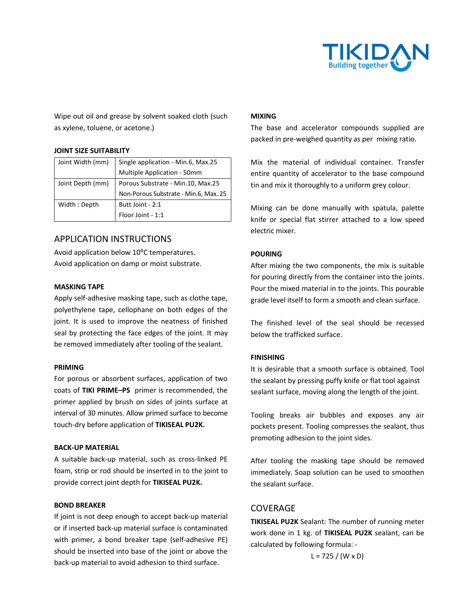

Wipe out oil and grease by solvent soaked cloth (such as xylene, toluene, or acetone.)

#### **JOINT SIZE SUITABILITY**

| Joint Width (mm) | Single application - Min.6, Max.25    |  |
|------------------|---------------------------------------|--|
|                  | Multiple Application - 50mm           |  |
| Joint Depth (mm) | Porous Substrate - Min.10, Max.25     |  |
|                  | Non-Porous Substrate - Min.6, Max. 25 |  |
| Width: Depth     | Butt Joint - 2:1                      |  |
|                  | Floor Joint - 1:1                     |  |

# APPLICATION INSTRUCTIONS

Avoid application below 10<sup>o</sup>C temperatures. Avoid application on damp or moist substrate.

#### **MASKING TAPE**

Apply self-adhesive masking tape, such as clothe tape, polyethylene tape, cellophane on both edges of the joint. It is used to improve the neatness of finished seal by protecting the face edges of the joint. It may be removed immediately after tooling of the sealant.

#### **PRIMING**

For porous or absorbent surfaces, application of two coats of **TIKI PRIME–PS** primer is recommended, the primer applied by brush on sides of joints surface at interval of 30 minutes. Allow primed surface to become touch-dry before application of **TIKISEAL PU2K.** 

#### **BACK-UP MATERIAL**

A suitable back-up material, such as cross-linked PE foam, strip or rod should be inserted in to the joint to provide correct joint depth for **TIKISEAL PU2K.** 

#### **BOND BREAKER**

If joint is not deep enough to accept back-up material or if inserted back-up material surface is contaminated with primer, a bond breaker tape (self-adhesive PE) should be inserted into base of the joint or above the back-up material to avoid adhesion to third surface.

#### **MIXING**

The base and accelerator compounds supplied are packed in pre-weighed quantity as per mixing ratio.

Mix the material of individual container. Transfer entire quantity of accelerator to the base compound tin and mix it thoroughly to a uniform grey colour.

Mixing can be done manually with spatula, palette knife or special flat stirrer attached to a low speed electric mixer.

### **POURING**

After mixing the two components, the mix is suitable for pouring directly from the container into the joints. Pour the mixed material in to the joints. This pourable grade level itself to form a smooth and clean surface.

The finished level of the seal should be recessed below the trafficked surface.

#### **FINISHING**

It is desirable that a smooth surface is obtained. Tool the sealant by pressing puffy knife or flat tool against sealant surface, moving along the length of the joint.

Tooling breaks air bubbles and exposes any air pockets present. Tooling compresses the sealant, thus promoting adhesion to the joint sides.

After tooling the masking tape should be removed immediately. Soap solution can be used to smoothen the sealant surface.

## **COVERAGE**

**TIKISEAL PU2K** Sealant: The number of running meter work done in 1 kg. of **TIKISEAL PU2K** sealant, can be calculated by following formula: -

 $L = 725 / (W \times D)$